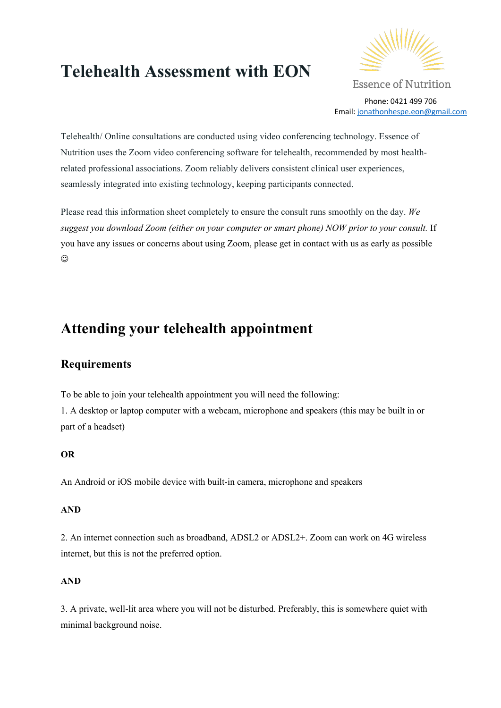# **Telehealth Assessment with EON**



**Essence of Nutrition** Phone: 0421 499 706 Email: jonathonhespe.eon@gmail.com

Telehealth/ Online consultations are conducted using video conferencing technology. Essence of Nutrition uses the Zoom video conferencing software for telehealth, recommended by most healthrelated professional associations. Zoom reliably delivers consistent clinical user experiences, seamlessly integrated into existing technology, keeping participants connected.

Please read this information sheet completely to ensure the consult runs smoothly on the day. *We suggest you download Zoom (either on your computer or smart phone) NOW prior to your consult.* If you have any issues or concerns about using Zoom, please get in contact with us as early as possible  $\odot$ 

## **Attending your telehealth appointment**

## **Requirements**

To be able to join your telehealth appointment you will need the following:

1. A desktop or laptop computer with a webcam, microphone and speakers (this may be built in or part of a headset)

#### **OR**

An Android or iOS mobile device with built-in camera, microphone and speakers

#### **AND**

2. An internet connection such as broadband, ADSL2 or ADSL2+. Zoom can work on 4G wireless internet, but this is not the preferred option.

#### **AND**

3. A private, well-lit area where you will not be disturbed. Preferably, this is somewhere quiet with minimal background noise.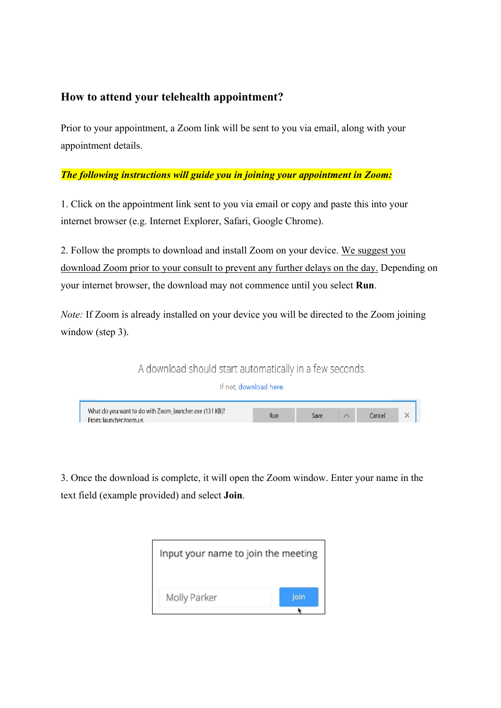## **How to attend your telehealth appointment?**

Prior to your appointment, a Zoom link will be sent to you via email, along with your appointment details.

#### *The following instructions will guide you in joining your appointment in Zoom:*

1. Click on the appointment link sent to you via email or copy and paste this into your internet browser (e.g. Internet Explorer, Safari, Google Chrome).

2. Follow the prompts to download and install Zoom on your device. We suggest you download Zoom prior to your consult to prevent any further delays on the day. Depending on your internet browser, the download may not commence until you select **Run**.

*Note:* If Zoom is already installed on your device you will be directed to the Zoom joining window (step 3).

A download should start automatically in a few seconds.

If not, download here.

What do you want to do with Zoom launcher.exe (131 KB)? Cancel Run Save From: launcher.zoom.us

3. Once the download is complete, it will open the Zoom window. Enter your name in the text field (example provided) and select **Join**.

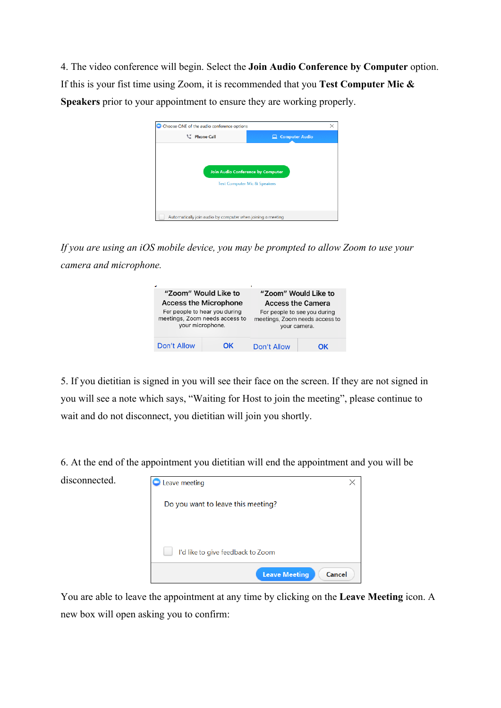4. The video conference will begin. Select the **Join Audio Conference by Computer** option. If this is your fist time using Zoom, it is recommended that you **Test Computer Mic & Speakers** prior to your appointment to ensure they are working properly.

| thone Call                        | <b>Computer Audio</b><br>▭ |
|-----------------------------------|----------------------------|
|                                   |                            |
|                                   |                            |
|                                   |                            |
| Join Audio Conference by Computer |                            |
| Test Computer Mic & Speakers      |                            |
|                                   |                            |
|                                   |                            |

*If you are using an iOS mobile device, you may be prompted to allow Zoom to use your camera and microphone.* 

| "Zoom" Would Like to<br><b>Access the Microphone</b> |    | "Zoom" Would Like to<br><b>Access the Camera</b> |    |
|------------------------------------------------------|----|--------------------------------------------------|----|
|                                                      |    |                                                  |    |
| Don't Allow                                          | ΩK | Don't Allow                                      | OK |

5. If you dietitian is signed in you will see their face on the screen. If they are not signed in you will see a note which says, "Waiting for Host to join the meeting", please continue to wait and do not disconnect, you dietitian will join you shortly.

6. At the end of the appointment you dietitian will end the appointment and you will be

disconnected.



You are able to leave the appointment at any time by clicking on the **Leave Meeting** icon. A new box will open asking you to confirm: